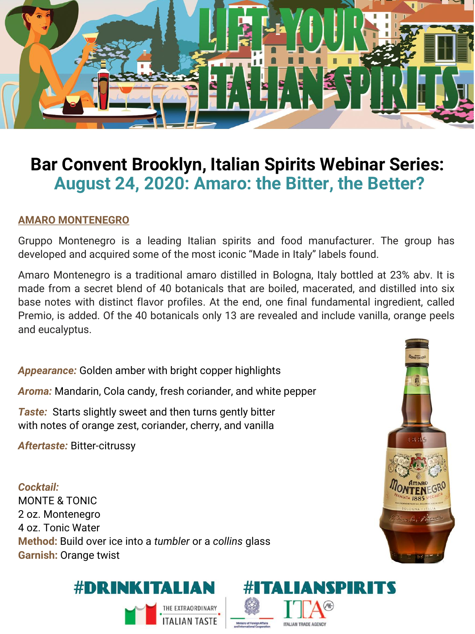

# **Bar Convent Brooklyn, Italian Spirits Webinar Series: August 24, 2020: Amaro: the Bitter, the Better?**

#### **AMARO MONTENEGRO**

Gruppo Montenegro is a leading Italian spirits and food manufacturer. The group has developed and acquired some of the most iconic "Made in Italy" labels found.

Amaro Montenegro is a traditional amaro distilled in Bologna, Italy bottled at 23% abv. It is made from a secret blend of 40 botanicals that are boiled, macerated, and distilled into six base notes with distinct flavor profiles. At the end, one final fundamental ingredient, called Premio, is added. Of the 40 botanicals only 13 are revealed and include vanilla, orange peels and eucalyptus.

*Appearance:* Golden amber with bright copper highlights

*Aroma:* Mandarin, Cola candy, fresh coriander, and white pepper

*Taste:* Starts slightly sweet and then turns gently bitter with notes of orange zest, coriander, cherry, and vanilla

*Aftertaste:* Bitter-citrussy

*Cocktail:*  MONTE & TONIC 2 oz. Montenegro 4 oz. Tonic Water **Method:** Build over ice into a *tumbler* or a *collins* glass **Garnish:** Orange twist





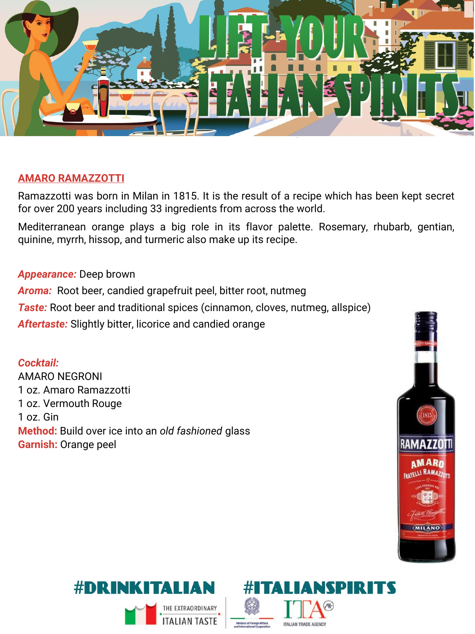

#### **AMARO RAMAZZOTTI**

Ramazzotti was born in Milan in 1815. It is the result of a recipe which has been kept secret for over 200 years including 33 ingredients from across the world.

Mediterranean orange plays a big role in its flavor palette. Rosemary, rhubarb, gentian, quinine, myrrh, hissop, and turmeric also make up its recipe.

#### *Appearance:* Deep brown

*Aroma:* Root beer, candied grapefruit peel, bitter root, nutmeg

**Taste:** Root beer and traditional spices (cinnamon, cloves, nutmeg, allspice)

*Aftertaste:* Slightly bitter, licorice and candied orange

*Cocktail:*  AMARO NEGRONI 1 oz. Amaro Ramazzotti 1 oz. Vermouth Rouge 1 oz. Gin **Method:** Build over ice into an *old fashioned* glass **Garnish:** Orange peel





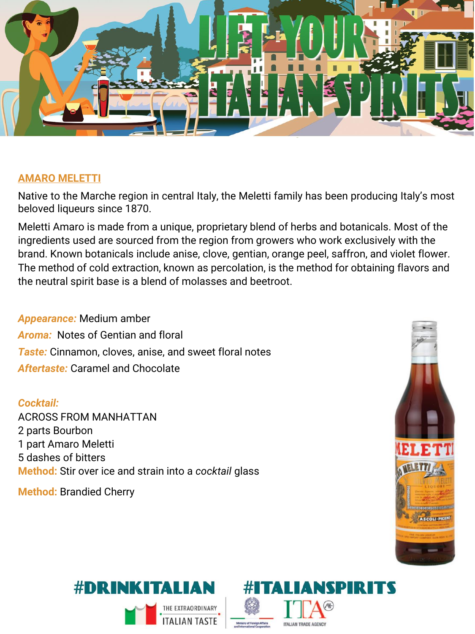

#### **AMARO MELETTI**

Native to the Marche region in central Italy, the Meletti family has been producing Italy's most beloved liqueurs since 1870.

Meletti Amaro is made from a unique, proprietary blend of herbs and botanicals. Most of the ingredients used are sourced from the region from growers who work exclusively with the brand. Known botanicals include anise, clove, gentian, orange peel, saffron, and violet flower. The method of cold extraction, known as percolation, is the method for obtaining flavors and the neutral spirit base is a blend of molasses and beetroot.

### *Appearance:* Medium amber *Aroma:* Notes of Gentian and floral *Taste:* Cinnamon, cloves, anise, and sweet floral notes *Aftertaste:* Caramel and Chocolate

#### *Cocktail:*

ACROSS FROM MANHATTAN 2 parts Bourbon 1 part Amaro Meletti 5 dashes of bitters **Method:** Stir over ice and strain into a *cocktail* glass

**Method:** Brandied Cherry